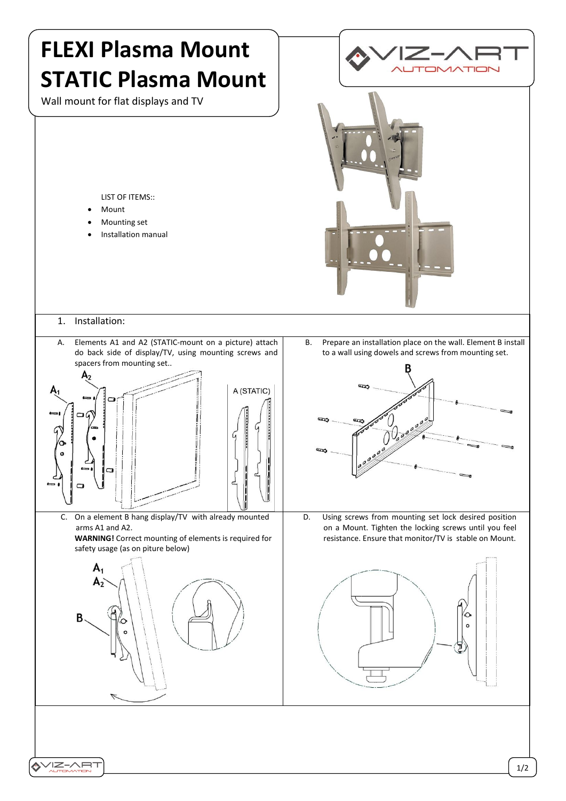